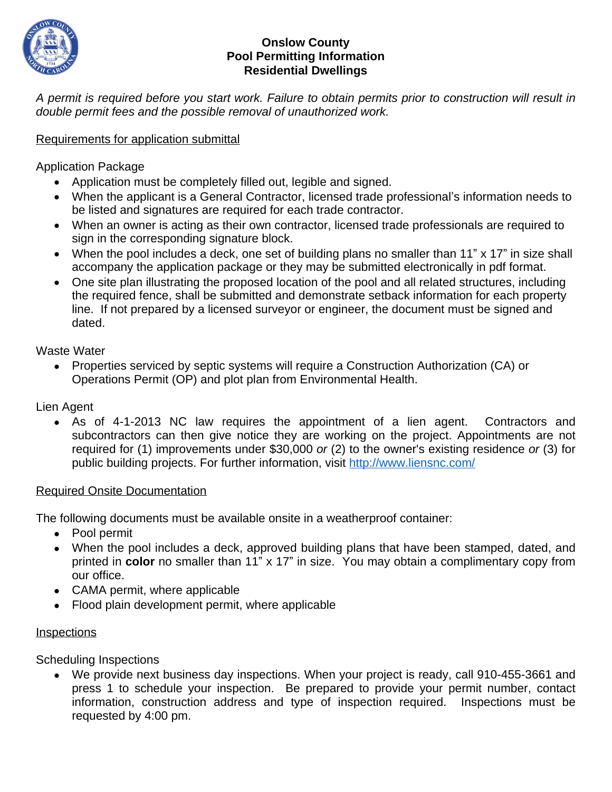

### **Onslow County Pool Permitting Information Residential Dwellings**

A permit is required before you start work. Failure to obtain permits prior to construction will result in *double permit fees and the possible removal of unauthorized work.* 

## Requirements for application submittal

Application Package

- Application must be completely filled out, legible and signed.
- When the applicant is a General Contractor, licensed trade professional's information needs to be listed and signatures are required for each trade contractor.
- When an owner is acting as their own contractor, licensed trade professionals are required to sign in the corresponding signature block.
- When the pool includes a deck, one set of building plans no smaller than 11" x 17" in size shall accompany the application package or they may be submitted electronically in pdf format.
- One site plan illustrating the proposed location of the pool and all related structures, including the required fence, shall be submitted and demonstrate setback information for each property line. If not prepared by a licensed surveyor or engineer, the document must be signed and dated.

Waste Water

 Properties serviced by septic systems will require a Construction Authorization (CA) or Operations Permit (OP) and plot plan from Environmental Health.

Lien Agent

 As of 4-1-2013 NC law requires the appointment of a lien agent. Contractors and subcontractors can then give notice they are working on the project. Appointments are not required for (1) improvements under \$30,000 *or* (2) to the owner's existing residence *or* (3) for public building projects. For further information, visit <http://www.liensnc.com/>

#### Required Onsite Documentation

The following documents must be available onsite in a weatherproof container:

- Pool permit
- When the pool includes a deck, approved building plans that have been stamped, dated, and printed in **color** no smaller than 11" x 17" in size. You may obtain a complimentary copy from our office.
- CAMA permit, where applicable
- Flood plain development permit, where applicable

#### **Inspections**

Scheduling Inspections

 We provide next business day inspections. When your project is ready, call 910-455-3661 and press 1 to schedule your inspection. Be prepared to provide your permit number, contact information, construction address and type of inspection required. Inspections must be requested by 4:00 pm.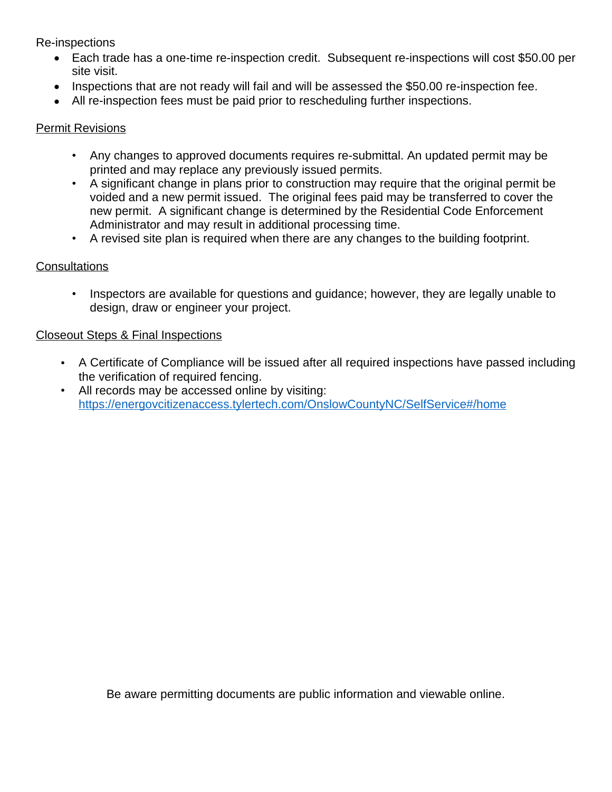Re-inspections

- Each trade has a one-time re-inspection credit. Subsequent re-inspections will cost \$50.00 per site visit.
- Inspections that are not ready will fail and will be assessed the \$50.00 re-inspection fee.
- All re-inspection fees must be paid prior to rescheduling further inspections.

## Permit Revisions

- Any changes to approved documents requires re-submittal. An updated permit may be printed and may replace any previously issued permits.
- A significant change in plans prior to construction may require that the original permit be voided and a new permit issued. The original fees paid may be transferred to cover the new permit. A significant change is determined by the Residential Code Enforcement Administrator and may result in additional processing time.
- A revised site plan is required when there are any changes to the building footprint.

# **Consultations**

• Inspectors are available for questions and guidance; however, they are legally unable to design, draw or engineer your project.

# Closeout Steps & Final Inspections

- A Certificate of Compliance will be issued after all required inspections have passed including the verification of required fencing.
- All records may be accessed online by visiting: <https://energovcitizenaccess.tylertech.com/OnslowCountyNC/SelfService#/home>

Be aware permitting documents are public information and viewable online.